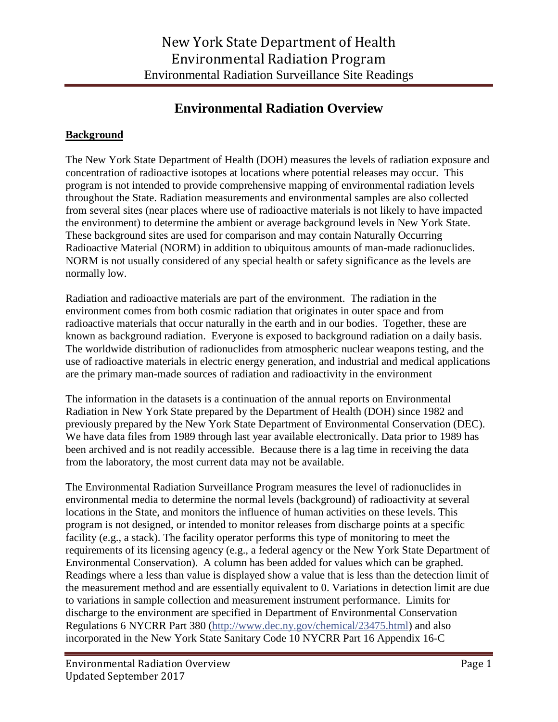## **Environmental Radiation Overview**

## **Background**

The New York State Department of Health (DOH) measures the levels of radiation exposure and concentration of radioactive isotopes at locations where potential releases may occur. This program is not intended to provide comprehensive mapping of environmental radiation levels throughout the State. Radiation measurements and environmental samples are also collected from several sites (near places where use of radioactive materials is not likely to have impacted the environment) to determine the ambient or average background levels in New York State. These background sites are used for comparison and may contain Naturally Occurring Radioactive Material (NORM) in addition to ubiquitous amounts of man-made radionuclides. NORM is not usually considered of any special health or safety significance as the levels are normally low.

Radiation and radioactive materials are part of the environment. The radiation in the environment comes from both cosmic radiation that originates in outer space and from radioactive materials that occur naturally in the earth and in our bodies. Together, these are known as background radiation. Everyone is exposed to background radiation on a daily basis. The worldwide distribution of radionuclides from atmospheric nuclear weapons testing, and the use of radioactive materials in electric energy generation, and industrial and medical applications are the primary man-made sources of radiation and radioactivity in the environment

The information in the datasets is a continuation of the annual reports on Environmental Radiation in New York State prepared by the Department of Health (DOH) since 1982 and previously prepared by the New York State Department of Environmental Conservation (DEC). We have data files from 1989 through last year available electronically. Data prior to 1989 has been archived and is not readily accessible. Because there is a lag time in receiving the data from the laboratory, the most current data may not be available.

The Environmental Radiation Surveillance Program measures the level of radionuclides in environmental media to determine the normal levels (background) of radioactivity at several locations in the State, and monitors the influence of human activities on these levels. This program is not designed, or intended to monitor releases from discharge points at a specific facility (e.g., a stack). The facility operator performs this type of monitoring to meet the requirements of its licensing agency (e.g., a federal agency or the New York State Department of Environmental Conservation). A column has been added for values which can be graphed. Readings where a less than value is displayed show a value that is less than the detection limit of the measurement method and are essentially equivalent to 0. Variations in detection limit are due to variations in sample collection and measurement instrument performance. Limits for discharge to the environment are specified in Department of Environmental Conservation Regulations 6 NYCRR Part 380 [\(http://www.dec.ny.gov/chemical/23475.html\)](http://www.dec.ny.gov/chemical/23475.html) and also incorporated in the New York State Sanitary Code 10 NYCRR Part 16 Appendix 16-C